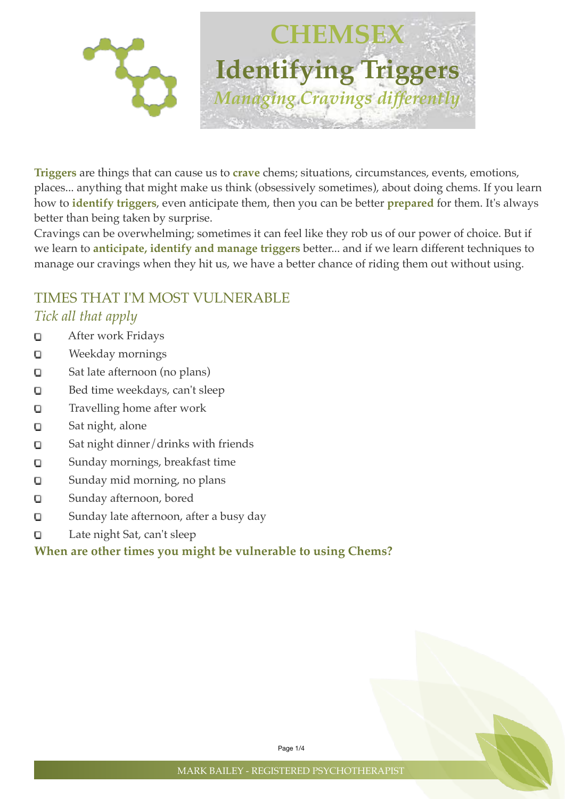

**Triggers** are things that can cause us to **crave** chems; situations, circumstances, events, emotions, places... anything that might make us think (obsessively sometimes), about doing chems. If you learn how to **identify triggers**, even anticipate them, then you can be better **prepared** for them. It's always better than being taken by surprise.

Cravings can be overwhelming; sometimes it can feel like they rob us of our power of choice. But if we learn to **anticipate, identify and manage triggers** better... and if we learn different techniques to manage our cravings when they hit us, we have a better chance of riding them out without using.

# TIMES THAT I'M MOST VULNERABLE

### *Tick all that apply*

- After work Fridays O
- Weekday mornings  $\Box$
- Sat late afternoon (no plans) O
- Bed time weekdays, can't sleep  $\Box$
- Travelling home after work  $\Box$
- Sat night, alone O
- Sat night dinner/drinks with friends  $\Box$
- Sunday mornings, breakfast time  $\Box$
- Sunday mid morning, no plans O
- Sunday afternoon, bored  $\Box$
- $\Box$ Sunday late afternoon, after a busy day
- Late night Sat, can't sleep O

### **When are other times you might be vulnerable to using Chems?**

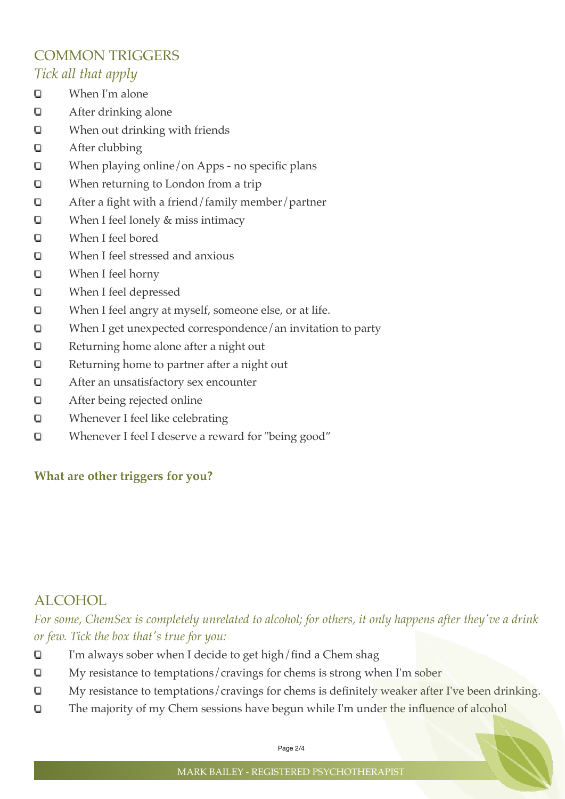### COMMON TRIGGERS *Tick all that apply*

- O When I'm alone
- O After drinking alone
- When out drinking with friends O
- O After clubbing
- When playing online/on Apps no specific plans O
- When returning to London from a trip O
- O After a fight with a friend/family member/partner
- O When I feel lonely & miss intimacy
- $\Box$ When I feel bored
- When I feel stressed and anxious  $\Box$
- O When I feel horny
- O When I feel depressed
- When I feel angry at myself, someone else, or at life. O
- O When I get unexpected correspondence/an invitation to party
- O Returning home alone after a night out
- O Returning home to partner after a night out
- O After an unsatisfactory sex encounter
- $\Box$ After being rejected online
- O Whenever I feel like celebrating
- Whenever I feel I deserve a reward for "being good" O

#### **What are other triggers for you?**

### ALCOHOL

*For some, ChemSex is completely unrelated to alcohol; for others, it only happens after they've a drink or few. Tick the box that's true for you:*

- I'm always sober when I decide to get high/find a Chem shag O
- My resistance to temptations/cravings for chems is strong when I'm sober O
- My resistance to temptations/cravings for chems is definitely weaker after I've been drinking. O
- O The majority of my Chem sessions have begun while I'm under the influence of alcohol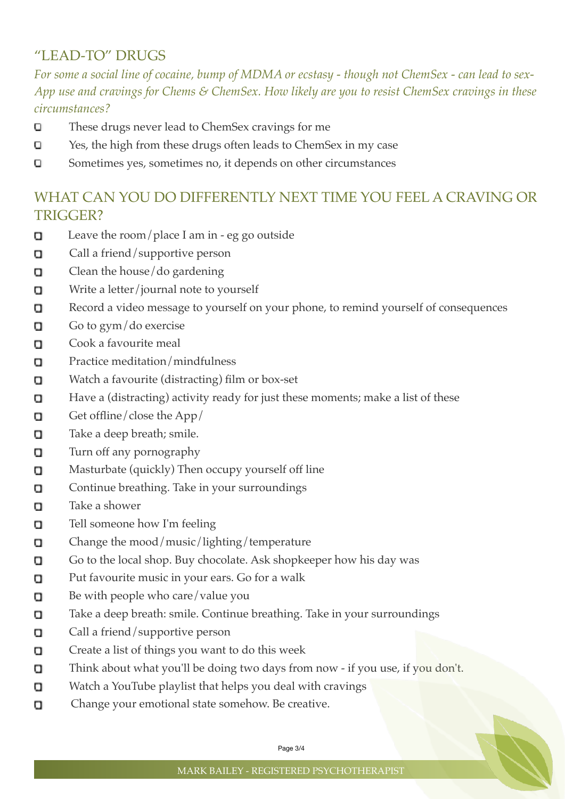## "LEAD-TO" DRUGS

*For some a social line of cocaine, bump of MDMA or ecstasy - though not ChemSex - can lead to sex-App use and cravings for Chems & ChemSex. How likely are you to resist ChemSex cravings in these circumstances?*

- O These drugs never lead to ChemSex cravings for me
- O Yes, the high from these drugs often leads to ChemSex in my case
- $\Box$ Sometimes yes, sometimes no, it depends on other circumstances

### WHAT CAN YOU DO DIFFERENTLY NEXT TIME YOU FEEL A CRAVING OR TRIGGER?

- Leave the room/place I am in eg go outside O
- **Call a friend/supportive person**
- Clean the house/do gardening о
- Write a letter/journal note to yourself o
- Record a video message to yourself on your phone, to remind yourself of consequences 0
- Go to gym/do exercise O
- Cook a favourite meal Ω.
- Practice meditation/mindfulness о
- Watch a favourite (distracting) film or box-set Ω.
- 0 Have a (distracting) activity ready for just these moments; make a list of these
- Get offline/close the App/ o
- Take a deep breath; smile. п
- Turn off any pornography 0
- Masturbate (quickly) Then occupy yourself off line α
- α Continue breathing. Take in your surroundings
- Take a shower П.
- Tell someone how I'm feeling o
- Change the mood/music/lighting/temperature O
- Go to the local shop. Buy chocolate. Ask shopkeeper how his day was .
- Put favourite music in your ears. Go for a walk Ω.
- 0 Be with people who care/value you
- Take a deep breath: smile. Continue breathing. Take in your surroundings о
- α Call a friend/supportive person
- Create a list of things you want to do this week 0
- Think about what you'll be doing two days from now if you use, if you don't. 0
- Watch a YouTube playlist that helps you deal with cravings о
- Change your emotional state somehow. Be creative. 0